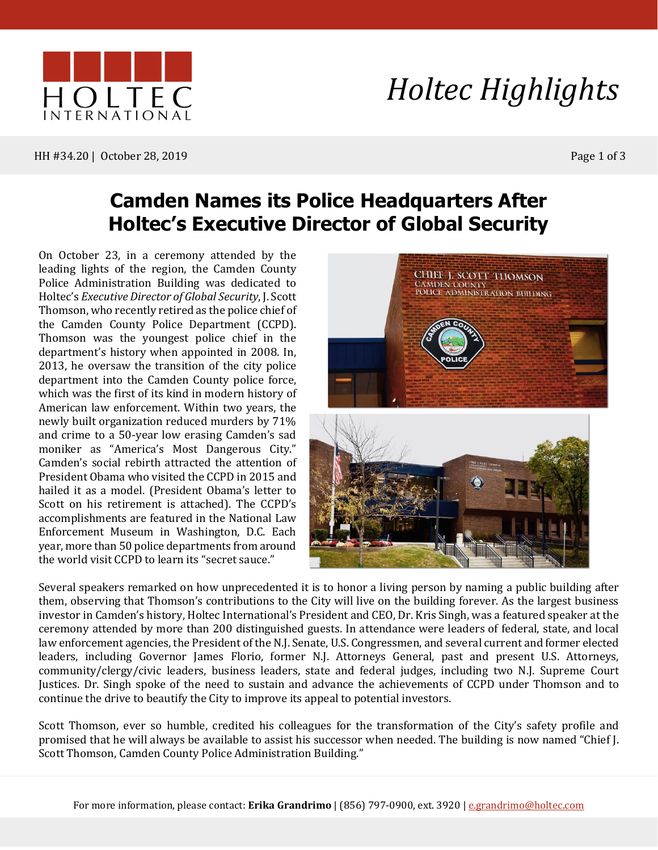

HH #34.20 | October 28, 2019 Page 1 of 3

### **Camden Names its Police Headquarters After Holtec's Executive Director of Global Security**

On October 23, in a ceremony attended by the leading lights of the region, the Camden County Police Administration Building was dedicated to Holtec's *ExecutiveDirector of Global Security*, J. Scott Thomson, who recently retired as the police chief of the Camden County Police Department (CCPD). Thomson was the youngest police chief in the department's history when appointed in 2008. In, 2013, he oversaw the transition of the city police department into the Camden County police force, which was the first of its kind in modern history of American law enforcement. Within two years, the newly built organization reduced murders by 71% and crime to a 50-year low erasing Camden's sad moniker as "America's Most Dangerous City." Camden's social rebirth attracted the attention of President Obama who visited the CCPD in 2015 and hailed it as a model. (President Obama's letter to Scott on his retirement is attached). The CCPD's accomplishments are featured in the National Law Enforcement Museum in Washington, D.C. Each year, more than 50 police departments from around the world visit CCPD to learn its "secret sauce."



Several speakers remarked on how unprecedented it is to honor a living person by naming a public building after them, observing that Thomson's contributions to the City will live on the building forever. As the largest business investor in Camden's history, Holtec International's President and CEO, Dr. Kris Singh, was a featured speaker at the ceremony attended by more than 200 distinguished guests. In attendance were leaders of federal, state, and local law enforcement agencies, the President of the N.J. Senate, U.S. Congressmen, and several current and former elected leaders, including Governor James Florio, former N.J. Attorneys General, past and present U.S. Attorneys, community/clergy/civic leaders, business leaders, state and federal judges, including two N.J. Supreme Court Justices. Dr. Singh spoke of the need to sustain and advance the achievements of CCPD under Thomson and to continue the drive to beautify the City to improve its appeal to potential investors.

Scott Thomson, ever so humble, credited his colleagues for the transformation of the City's safety profile and promised that he will always be available to assist his successor when needed. The building is now named "Chief J. Scott Thomson, Camden County Police Administration Building."

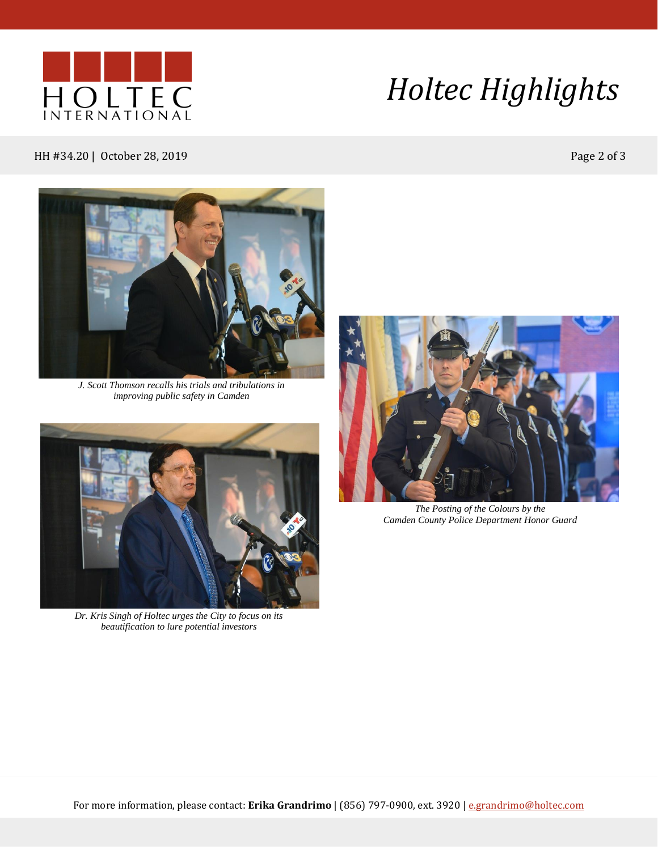

# *Holtec Highlights*

#### HH #34.20 | October 28, 2019 **Page 2 of 3**



*J. Scott Thomson recalls his trials and tribulations in improving public safety in Camden*



*Dr. Kris Singh of Holtec urges the City to focus on its beautification to lure potential investors*



*The Posting of the Colours by the Camden County Police Department Honor Guard*